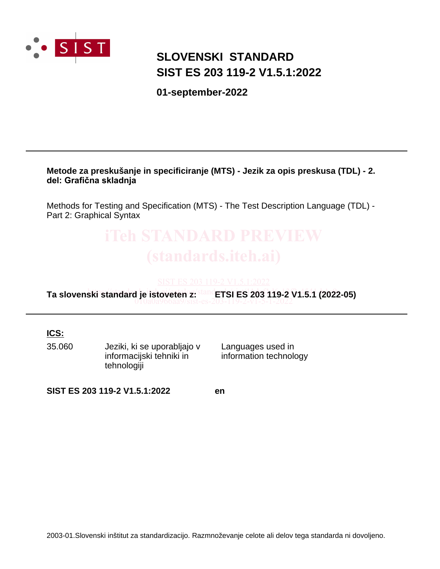

## **SLOVENSKI STANDARD SIST ES 203 119-2 V1.5.1:2022**

**01-september-2022**

**Metode za preskušanje in specificiranje (MTS) - Jezik za opis preskusa (TDL) - 2. del: Grafična skladnja**

Methods for Testing and Specification (MTS) - The Test Description Language (TDL) - Part 2: Graphical Syntax

# **2003-01.Slovenski standard je istoveten z: institute ali delovation informacijski tehnik in**<br>**2003-01.Slovenski informacijski tehnik in**<br>**informacijski tehnik in**<br>**informacijski tehnik in**<br>**informacion** technology<br>**SIST**

**Ta slovenski standard je istoveten z:** ETSI ES 203 119-2 V1.5.1 (2022-05) 010a0a966aa9/sist-es-203-119-2-v1-5-1-2022

**ICS:**

35.060 Jeziki, ki se uporabljajo v informacijski tehniki in tehnologiji

Languages used in information technology

**SIST ES 203 119-2 V1.5.1:2022 en**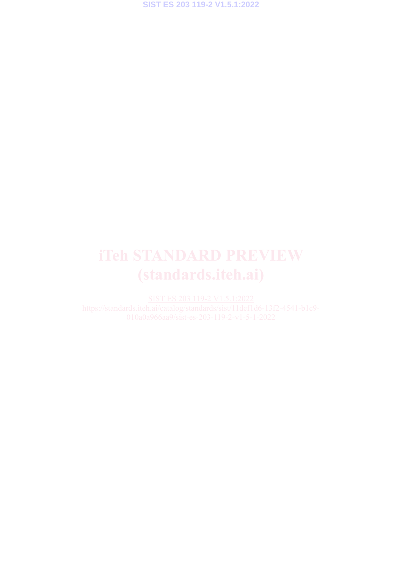**SIST ES 203 119-2 V1.5.1:2022**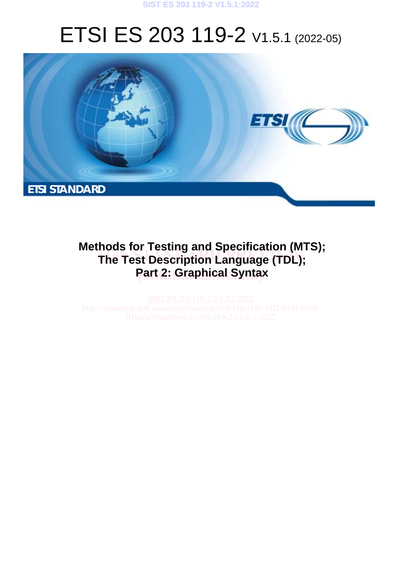

# ETSI ES 203 119-2 V1.5.1 (2022-05)



# **Methods for Testing and Specification (MTS); The Test Description Language (TDL); Part 2: Graphical Syntax**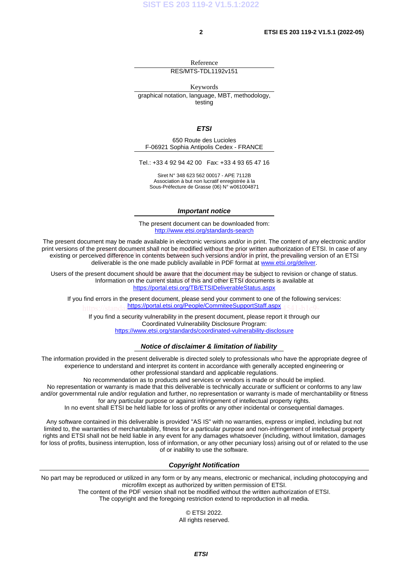Reference RES/MTS-TDL1192v151

Keywords

graphical notation, language, MBT, methodology, testing

*ETSI* 

650 Route des Lucioles F-06921 Sophia Antipolis Cedex - FRANCE

Tel.: +33 4 92 94 42 00 Fax: +33 4 93 65 47 16

Siret N° 348 623 562 00017 - APE 7112B Association à but non lucratif enregistrée à la Sous-Préfecture de Grasse (06) N° w061004871

### *Important notice*

The present document can be downloaded from: <http://www.etsi.org/standards-search>

The present document may be made available in electronic versions and/or in print. The content of any electronic and/or print versions of the present document shall not be modified without the prior written authorization of ETSI. In case of any nt versions or the present document shall not be modified without the prior written authorization or ETSI. In case or a<br>existing or perceived difference in contents between such versions and/or in print, the prevailing ver deliverable is the one made publicly available in PDF format at [www.etsi.org/deliver.](http://www.etsi.org/deliver)

Users of the present document should be aware that the document may be subject to revision or change of status.<br>Information on the current status of this and other ETSI documents is available at Information on the current status of this and other ETSI documents is available at <https://portal.etsi.org/TB/ETSIDeliverableStatus.aspx>

If you find errors in the present document, please send your comment to one of the following services: https://standar<mark><https://portal.etsi.org/People/CommiteeSupportStaff.aspx></mark> <sub>4541-b1c9-</sub>

If you find a security vulnerability in the present document, please report it through our Coordinated Vulnerability Disclosure Program: <https://www.etsi.org/standards/coordinated-vulnerability-disclosure>

### *Notice of disclaimer & limitation of liability*

The information provided in the present deliverable is directed solely to professionals who have the appropriate degree of experience to understand and interpret its content in accordance with generally accepted engineering or other professional standard and applicable regulations.

No recommendation as to products and services or vendors is made or should be implied.

No representation or warranty is made that this deliverable is technically accurate or sufficient or conforms to any law and/or governmental rule and/or regulation and further, no representation or warranty is made of merchantability or fitness for any particular purpose or against infringement of intellectual property rights.

In no event shall ETSI be held liable for loss of profits or any other incidental or consequential damages.

Any software contained in this deliverable is provided "AS IS" with no warranties, express or implied, including but not limited to, the warranties of merchantability, fitness for a particular purpose and non-infringement of intellectual property rights and ETSI shall not be held liable in any event for any damages whatsoever (including, without limitation, damages for loss of profits, business interruption, loss of information, or any other pecuniary loss) arising out of or related to the use of or inability to use the software.

### *Copyright Notification*

No part may be reproduced or utilized in any form or by any means, electronic or mechanical, including photocopying and microfilm except as authorized by written permission of ETSI.

The content of the PDF version shall not be modified without the written authorization of ETSI.

The copyright and the foregoing restriction extend to reproduction in all media.

© ETSI 2022. All rights reserved.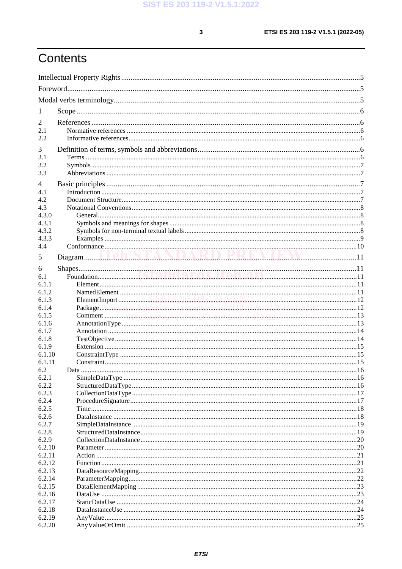$\mathbf{3}$ 

# Contents

| 1                |                                                                             |  |
|------------------|-----------------------------------------------------------------------------|--|
| 2                |                                                                             |  |
| 2.1              |                                                                             |  |
| 2.2              |                                                                             |  |
|                  |                                                                             |  |
| 3                |                                                                             |  |
| 3.1<br>3.2       |                                                                             |  |
| 3.3              |                                                                             |  |
|                  |                                                                             |  |
| 4                |                                                                             |  |
| 4.1<br>4.2       |                                                                             |  |
| 4.3              |                                                                             |  |
| 4.3.0            |                                                                             |  |
| 4.3.1            |                                                                             |  |
| 4.3.2            |                                                                             |  |
| 4.3.3            |                                                                             |  |
| 4.4              |                                                                             |  |
| 5                |                                                                             |  |
|                  |                                                                             |  |
| 6                |                                                                             |  |
| 6.1              |                                                                             |  |
| 6.1.1<br>6.1.2   |                                                                             |  |
| 6.1.3            |                                                                             |  |
| 6.1.4            | Package //standards.iteh.ai/catalog/standards/sist/11def1d6-13f2-4541-h1c9- |  |
| 6.1.5            |                                                                             |  |
| 6.1.6            |                                                                             |  |
| 6.1.7            |                                                                             |  |
| 6.1.8            |                                                                             |  |
| 6.1.9            |                                                                             |  |
| 6.1.10           |                                                                             |  |
| 6.1.11           |                                                                             |  |
| 6.2              |                                                                             |  |
| 6.2.1<br>6.2.2   |                                                                             |  |
| 6.2.3            |                                                                             |  |
| 6.2.4            |                                                                             |  |
| 6.2.5            |                                                                             |  |
| 6.2.6            |                                                                             |  |
| 6.2.7            |                                                                             |  |
| 6.2.8            |                                                                             |  |
| 6.2.9            |                                                                             |  |
| 6.2.10           |                                                                             |  |
| 6.2.11           |                                                                             |  |
| 6.2.12           |                                                                             |  |
| 6.2.13           |                                                                             |  |
| 6.2.14           |                                                                             |  |
| 6.2.15<br>6.2.16 |                                                                             |  |
| 6.2.17           |                                                                             |  |
| 6.2.18           |                                                                             |  |
| 6.2.19           |                                                                             |  |
| 6.2.20           |                                                                             |  |
|                  |                                                                             |  |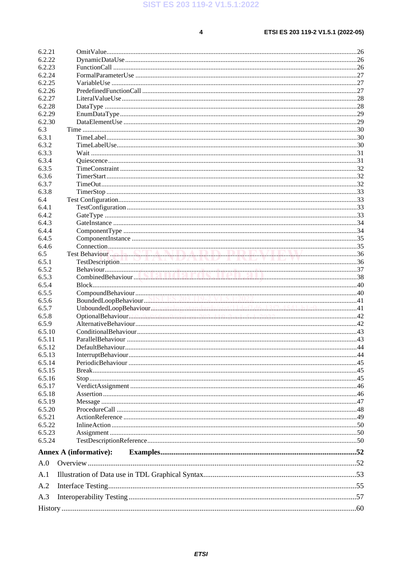$\overline{\mathbf{4}}$ 

| 6.2.22<br>6.2.23<br>6.2.24<br>6.2.25<br>6.2.26<br>6.2.27<br>6.2.28<br>6.2.29<br>6.2.30<br>6.3<br>6.3.1<br>6.3.2<br>6.3.3<br>6.3.4<br>6.3.5<br>6.3.6<br>6.3.7<br>6.3.8<br>6.4<br>6.4.1<br>6.4.2<br>6.4.3<br>6.4.4<br>6.4.5<br>6.4.6<br>6.5<br>6.5.2<br>6.5.3<br>6.5.4<br>6.5.5<br>6.5.6<br>UnboundedLoopBehaviour.am.catal.o.g/standards/sist/l.l.defil.d6l.3.f2454.l.b.l.c941<br>6.5.7<br>6.5.8<br>6.5.9<br>6.5.10<br>6.5.11<br>44<br>6.5.12<br>DefaultBehaviour.<br>6.5.13<br>6.5.14<br>6.5.15<br>6.5.16<br>6.5.17<br>6.5.18<br>6.5.19<br>6.5.20<br>6.5.21<br>6.5.22<br>6.5.23<br>6.5.24<br><b>Annex A (informative):</b><br>A.0<br>A.2<br>A.3 | 6.2.21 |  |
|-------------------------------------------------------------------------------------------------------------------------------------------------------------------------------------------------------------------------------------------------------------------------------------------------------------------------------------------------------------------------------------------------------------------------------------------------------------------------------------------------------------------------------------------------------------------------------------------------------------------------------------------------|--------|--|
|                                                                                                                                                                                                                                                                                                                                                                                                                                                                                                                                                                                                                                                 |        |  |
|                                                                                                                                                                                                                                                                                                                                                                                                                                                                                                                                                                                                                                                 |        |  |
|                                                                                                                                                                                                                                                                                                                                                                                                                                                                                                                                                                                                                                                 |        |  |
|                                                                                                                                                                                                                                                                                                                                                                                                                                                                                                                                                                                                                                                 |        |  |
|                                                                                                                                                                                                                                                                                                                                                                                                                                                                                                                                                                                                                                                 |        |  |
|                                                                                                                                                                                                                                                                                                                                                                                                                                                                                                                                                                                                                                                 |        |  |
|                                                                                                                                                                                                                                                                                                                                                                                                                                                                                                                                                                                                                                                 |        |  |
|                                                                                                                                                                                                                                                                                                                                                                                                                                                                                                                                                                                                                                                 |        |  |
|                                                                                                                                                                                                                                                                                                                                                                                                                                                                                                                                                                                                                                                 |        |  |
|                                                                                                                                                                                                                                                                                                                                                                                                                                                                                                                                                                                                                                                 |        |  |
|                                                                                                                                                                                                                                                                                                                                                                                                                                                                                                                                                                                                                                                 |        |  |
|                                                                                                                                                                                                                                                                                                                                                                                                                                                                                                                                                                                                                                                 |        |  |
|                                                                                                                                                                                                                                                                                                                                                                                                                                                                                                                                                                                                                                                 |        |  |
|                                                                                                                                                                                                                                                                                                                                                                                                                                                                                                                                                                                                                                                 |        |  |
|                                                                                                                                                                                                                                                                                                                                                                                                                                                                                                                                                                                                                                                 |        |  |
|                                                                                                                                                                                                                                                                                                                                                                                                                                                                                                                                                                                                                                                 |        |  |
|                                                                                                                                                                                                                                                                                                                                                                                                                                                                                                                                                                                                                                                 |        |  |
|                                                                                                                                                                                                                                                                                                                                                                                                                                                                                                                                                                                                                                                 |        |  |
|                                                                                                                                                                                                                                                                                                                                                                                                                                                                                                                                                                                                                                                 |        |  |
|                                                                                                                                                                                                                                                                                                                                                                                                                                                                                                                                                                                                                                                 |        |  |
|                                                                                                                                                                                                                                                                                                                                                                                                                                                                                                                                                                                                                                                 |        |  |
|                                                                                                                                                                                                                                                                                                                                                                                                                                                                                                                                                                                                                                                 |        |  |
|                                                                                                                                                                                                                                                                                                                                                                                                                                                                                                                                                                                                                                                 |        |  |
|                                                                                                                                                                                                                                                                                                                                                                                                                                                                                                                                                                                                                                                 |        |  |
|                                                                                                                                                                                                                                                                                                                                                                                                                                                                                                                                                                                                                                                 |        |  |
|                                                                                                                                                                                                                                                                                                                                                                                                                                                                                                                                                                                                                                                 |        |  |
|                                                                                                                                                                                                                                                                                                                                                                                                                                                                                                                                                                                                                                                 | 6.5.1  |  |
|                                                                                                                                                                                                                                                                                                                                                                                                                                                                                                                                                                                                                                                 |        |  |
|                                                                                                                                                                                                                                                                                                                                                                                                                                                                                                                                                                                                                                                 |        |  |
|                                                                                                                                                                                                                                                                                                                                                                                                                                                                                                                                                                                                                                                 |        |  |
|                                                                                                                                                                                                                                                                                                                                                                                                                                                                                                                                                                                                                                                 |        |  |
|                                                                                                                                                                                                                                                                                                                                                                                                                                                                                                                                                                                                                                                 |        |  |
|                                                                                                                                                                                                                                                                                                                                                                                                                                                                                                                                                                                                                                                 |        |  |
|                                                                                                                                                                                                                                                                                                                                                                                                                                                                                                                                                                                                                                                 |        |  |
|                                                                                                                                                                                                                                                                                                                                                                                                                                                                                                                                                                                                                                                 |        |  |
|                                                                                                                                                                                                                                                                                                                                                                                                                                                                                                                                                                                                                                                 |        |  |
|                                                                                                                                                                                                                                                                                                                                                                                                                                                                                                                                                                                                                                                 |        |  |
|                                                                                                                                                                                                                                                                                                                                                                                                                                                                                                                                                                                                                                                 |        |  |
|                                                                                                                                                                                                                                                                                                                                                                                                                                                                                                                                                                                                                                                 |        |  |
|                                                                                                                                                                                                                                                                                                                                                                                                                                                                                                                                                                                                                                                 |        |  |
|                                                                                                                                                                                                                                                                                                                                                                                                                                                                                                                                                                                                                                                 |        |  |
|                                                                                                                                                                                                                                                                                                                                                                                                                                                                                                                                                                                                                                                 |        |  |
|                                                                                                                                                                                                                                                                                                                                                                                                                                                                                                                                                                                                                                                 |        |  |
|                                                                                                                                                                                                                                                                                                                                                                                                                                                                                                                                                                                                                                                 |        |  |
|                                                                                                                                                                                                                                                                                                                                                                                                                                                                                                                                                                                                                                                 |        |  |
|                                                                                                                                                                                                                                                                                                                                                                                                                                                                                                                                                                                                                                                 |        |  |
|                                                                                                                                                                                                                                                                                                                                                                                                                                                                                                                                                                                                                                                 |        |  |
|                                                                                                                                                                                                                                                                                                                                                                                                                                                                                                                                                                                                                                                 |        |  |
|                                                                                                                                                                                                                                                                                                                                                                                                                                                                                                                                                                                                                                                 |        |  |
|                                                                                                                                                                                                                                                                                                                                                                                                                                                                                                                                                                                                                                                 |        |  |
|                                                                                                                                                                                                                                                                                                                                                                                                                                                                                                                                                                                                                                                 |        |  |
|                                                                                                                                                                                                                                                                                                                                                                                                                                                                                                                                                                                                                                                 |        |  |
|                                                                                                                                                                                                                                                                                                                                                                                                                                                                                                                                                                                                                                                 | A.1    |  |
|                                                                                                                                                                                                                                                                                                                                                                                                                                                                                                                                                                                                                                                 |        |  |
|                                                                                                                                                                                                                                                                                                                                                                                                                                                                                                                                                                                                                                                 |        |  |
|                                                                                                                                                                                                                                                                                                                                                                                                                                                                                                                                                                                                                                                 |        |  |

### **ETSI**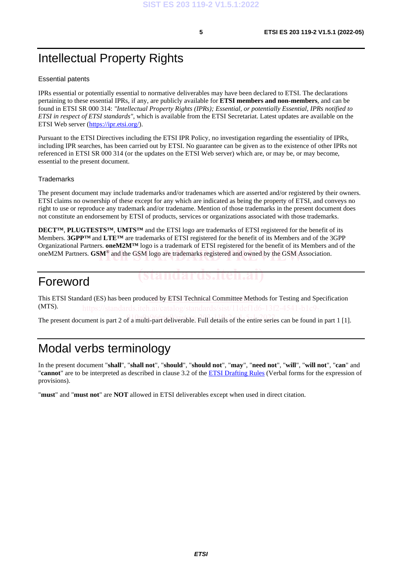### Intellectual Property Rights

### Essential patents

IPRs essential or potentially essential to normative deliverables may have been declared to ETSI. The declarations pertaining to these essential IPRs, if any, are publicly available for **ETSI members and non-members**, and can be found in ETSI SR 000 314: *"Intellectual Property Rights (IPRs); Essential, or potentially Essential, IPRs notified to ETSI in respect of ETSI standards"*, which is available from the ETSI Secretariat. Latest updates are available on the ETSI Web server ([https://ipr.etsi.org/\)](https://ipr.etsi.org/).

Pursuant to the ETSI Directives including the ETSI IPR Policy, no investigation regarding the essentiality of IPRs, including IPR searches, has been carried out by ETSI. No guarantee can be given as to the existence of other IPRs not referenced in ETSI SR 000 314 (or the updates on the ETSI Web server) which are, or may be, or may become, essential to the present document.

### **Trademarks**

The present document may include trademarks and/or tradenames which are asserted and/or registered by their owners. ETSI claims no ownership of these except for any which are indicated as being the property of ETSI, and conveys no right to use or reproduce any trademark and/or tradename. Mention of those trademarks in the present document does not constitute an endorsement by ETSI of products, services or organizations associated with those trademarks.

**DECT™**, **PLUGTESTS™**, **UMTS™** and the ETSI logo are trademarks of ETSI registered for the benefit of its Members. **3GPP™** and **LTE™** are trademarks of ETSI registered for the benefit of its Members and of the 3GPP Organizational Partners. **oneM2M™** logo is a trademark of ETSI registered for the benefit of its Members and of the oneM2M Partners. **GSM<sup>®</sup>** and the GSM logo are trademarks registered and owned by the GSM Association.

### Foreword

This ETSI Standard (ES) has been produced by ETSI Technical Committee Methods for Testing and Specification (MTS).

The present document is part 2 of a multi-part deliverable. Full details of the entire series can be found in part 1 [1].

### Modal verbs terminology

In the present document "**shall**", "**shall not**", "**should**", "**should not**", "**may**", "**need not**", "**will**", "**will not**", "**can**" and "**cannot**" are to be interpreted as described in clause 3.2 of the [ETSI Drafting Rules](https://portal.etsi.org/Services/editHelp!/Howtostart/ETSIDraftingRules.aspx) (Verbal forms for the expression of provisions).

"**must**" and "**must not**" are **NOT** allowed in ETSI deliverables except when used in direct citation.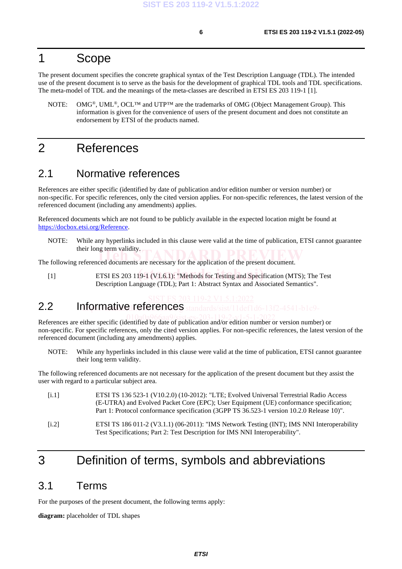### <span id="page-7-0"></span>1 Scope

The present document specifies the concrete graphical syntax of the Test Description Language (TDL). The intended use of the present document is to serve as the basis for the development of graphical TDL tools and TDL specifications. The meta-model of TDL and the meanings of the meta-classes are described in ETSI ES 203 119-1 [1].

NOTE: OMG®, UML®, OCL™ and UTP™ are the trademarks of OMG (Object Management Group). This information is given for the convenience of users of the present document and does not constitute an endorsement by ETSI of the products named.

### 2 References

### 2.1 Normative references

References are either specific (identified by date of publication and/or edition number or version number) or non-specific. For specific references, only the cited version applies. For non-specific references, the latest version of the referenced document (including any amendments) applies.

Referenced documents which are not found to be publicly available in the expected location might be found at <https://docbox.etsi.org/Reference>.

NOTE: While any hyperlinks included in this clause were valid at the time of publication, ETSI cannot guarantee their long term validity.

their long term validity.<br>The following referenced documents are necessary for the application of the present document.

[1] ETSI ES 203 119-1 (V1.6.1): "Methods for Testing and Specification (MTS); The Test Description Language (TDL); Part 1: Abstract Syntax and Associated Semantics".

### 2.2 Informative references

References are either specific (identified by date of publication and/or edition number or version number) or non-specific. For specific references, only the cited version applies. For non-specific references, the latest version of the referenced document (including any amendments) applies.

NOTE: While any hyperlinks included in this clause were valid at the time of publication, ETSI cannot guarantee their long term validity.

The following referenced documents are not necessary for the application of the present document but they assist the user with regard to a particular subject area.

[i.1] ETSI TS 136 523-1 (V10.2.0) (10-2012): "LTE; Evolved Universal Terrestrial Radio Access (E-UTRA) and Evolved Packet Core (EPC); User Equipment (UE) conformance specification; Part 1: Protocol conformance specification (3GPP TS 36.523-1 version 10.2.0 Release 10)". [i.2] ETSI TS 186 011-2 (V3.1.1) (06-2011): "IMS Network Testing (INT); IMS NNI Interoperability Test Specifications; Part 2: Test Description for IMS NNI Interoperability".

### 3 Definition of terms, symbols and abbreviations

### 3.1 Terms

For the purposes of the present document, the following terms apply:

**diagram:** placeholder of TDL shapes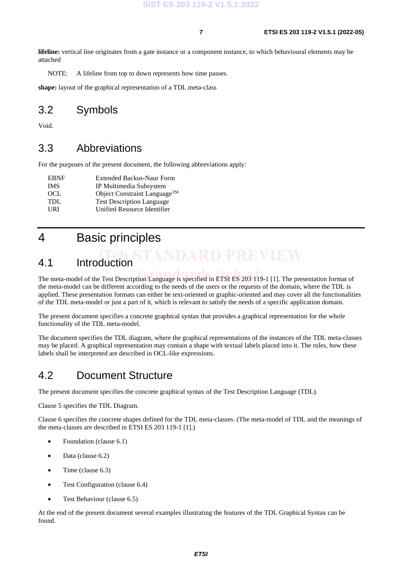**lifeline:** vertical line originates from a gate instance or a component instance, to which behavioural elements may be attached

NOTE: A lifeline from top to down represents how time passes.

**shape:** layout of the graphical representation of a TDL meta-class

### 3.2 Symbols

Void.

### 3.3 Abbreviations

For the purposes of the present document, the following abbreviations apply:

| <b>Extended Backus-Naur Form</b>         |
|------------------------------------------|
| IP Multimedia Subsystem                  |
| Object Constraint Language <sup>TM</sup> |
| <b>Test Description Language</b>         |
| Unified Resource Identifier              |
|                                          |

### 4 Basic principles

# 4.1 Introduction

The meta-model of the Test Description Language is specified in ETSI ES 203 119-1 [\[1](#page-7-0)]. The presentation format of the meta-model can be different according to the needs of the users or the requests of the domain, where the TDL is applied. These presentation formats can either be text-oriented or graphic-oriented and may cover all the functionalities applied. These presentation formats can enter be text-offended or graphic-offended and may cover an the function.<br>of the TDL meta-model or just a part of it, which is relevant to satisfy the needs of a specific application https://standards.iteh.ai/catalog/standards/sist/11def1d6-13f2-4541-b1c9-

The present document specifies a concrete graphical syntax that provides a graphical representation for the whole functionality of the TDL meta-model.

The document specifies the TDL diagram, where the graphical representations of the instances of the TDL meta-classes may be placed. A graphical representation may contain a shape with textual labels placed into it. The rules, how these labels shall be interpreted are described in OCL-like expressions.

### 4.2 Document Structure

The present document specifies the concrete graphical syntax of the Test Description Language (TDL).

Clause 5 specifies the TDL Diagram.

Clause 6 specifies the concrete shapes defined for the TDL meta-classes. (The meta-model of TDL and the meanings of the meta-classes are described in ETSI ES 203 119-1 [\[1](#page-7-0)].)

- Foundation (clause 6.1)
- Data (clause 6.2)
- Time (clause 6.3)
- Test Configuration (clause 6.4)
- Test Behaviour (clause 6.5)

At the end of the present document several examples illustrating the features of the TDL Graphical Syntax can be found.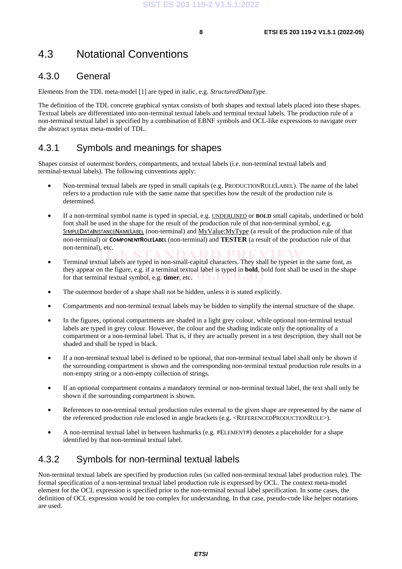### 4.3 Notational Conventions

### 4.3.0 General

Elements from the TDL meta-model [[1\]](#page-7-0) are typed in italic, e.g. *StructuredDataType.*

The definition of the TDL concrete graphical syntax consists of both shapes and textual labels placed into these shapes. Textual labels are differentiated into non-terminal textual labels and terminal textual labels. The production rule of a non-terminal textual label is specified by a combination of EBNF symbols and OCL-like expressions to navigate over the abstract syntax meta-model of TDL.

### 4.3.1 Symbols and meanings for shapes

Shapes consist of outermost borders, compartments, and textual labels (i.e. non-terminal textual labels and terminal-textual labels). The following conventions apply:

- Non-terminal textual labels are typed in small capitals (e.g. PRODUCTIONRULELABEL). The name of the label refers to a production rule with the same name that specifies how the result of the production rule is determined.
- If a non-terminal symbol name is typed in special, e.g. UNDERLINED or **BOLD** small capitals, underlined or bold font shall be used in the shape for the result of the production rule of that non-terminal symbol, e.g. SIMPLEDATAINSTANCENAMELABEL (non-terminal) and MyValue:MyType (a result of the production rule of that non-terminal) or COMPONENTROLELABEL (non-terminal) and **TESTER** (a result of the production rule of that non-terminal), etc.
- **•** Terminal textual labels are typed in non-small-capital characters. They shall be typeset in the same font, as **interval in the same font**, as they appear on the figure, e.g. if a terminal textual label is typed in **bold**, bold font shall be used in the shape for that terminal textual symbol, e.g. **timer**, etc. for that terminal textual symbol, e.g. **timer**, etc.
- The outermost border of a shape shall not be hidden, unless it is stated explicitly.
- Compartments and non-terminal textual labels may be hidden to simplify the internal structure of the shape.
- In the figures, optional compartments are shaded in a light grey colour, while optional non-terminal textual labels are typed in grey colour. However, the colour and the shading indicate only the optionality of a compartment or a non-terminal label. That is, if they are actually present in a test description, they shall not be shaded and shall be typed in black.
- If a non-terminal textual label is defined to be optional, that non-terminal textual label shall only be shown if the surrounding compartment is shown and the corresponding non-terminal textual production rule results in a non-empty string or a non-empty collection of strings.
- If an optional compartment contains a mandatory terminal or non-terminal textual label, the text shall only be shown if the surrounding compartment is shown.
- References to non-terminal textual production rules external to the given shape are represented by the name of the referenced production rule enclosed in angle brackets (e.g. <REFERENCEDPRODUCTIONRULE>).
- A non-terminal textual label in between hashmarks (e.g. #ELEMENT#) denotes a placeholder for a shape identified by that non-terminal textual label.

### 4.3.2 Symbols for non-terminal textual labels

Non-terminal textual labels are specified by production rules (so called non-terminal textual label production rule). The formal specification of a non-terminal textual label production rule is expressed by OCL. The context meta-model element for the OCL expression is specified prior to the non-terminal textual label specification. In some cases, the definition of OCL expression would be too complex for understanding. In that case, pseudo-code like helper notations are used.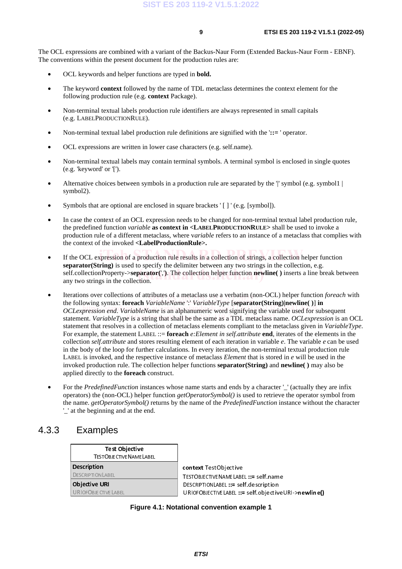<span id="page-10-0"></span>The OCL expressions are combined with a variant of the Backus-Naur Form (Extended Backus-Naur Form - EBNF). The conventions within the present document for the production rules are:

- OCL keywords and helper functions are typed in **bold.**
- The keyword **context** followed by the name of TDL metaclass determines the context element for the following production rule (e.g. **context** Package).
- Non-terminal textual labels production rule identifiers are always represented in small capitals (e.g. LABELPRODUCTIONRULE).
- Non-terminal textual label production rule definitions are signified with the '::= ' operator.
- OCL expressions are written in lower case characters (e.g. self.name).
- Non-terminal textual labels may contain terminal symbols. A terminal symbol is enclosed in single quotes (e.g. 'keyword' or '[').
- Alternative choices between symbols in a production rule are separated by the  $\parallel$ ' symbol (e.g. symbol  $\parallel$ symbol2).
- Symbols that are optional are enclosed in square brackets ' [ ] ' (e.g. [symbol]).
- In case the context of an OCL expression needs to be changed for non-terminal textual label production rule, the predefined function *variable* **as context in <LABELPRODUCTIONRULE>** shall be used to invoke a production rule of a different metaclass, where v*ariable* refers to an instance of a metaclass that complies with the context of the invoked **<LabelProductionRule>.**
- If the OCL expression of a production rule results in a collection of strings, a collection helper function **separator(String)** is used to specify the delimiter between any two strings in the collection, e.g. self.collectionProperty->**separator**(','). The collection helper function **newline**() inserts a line break between any two strings in the collection. any two strings in the collection.
- Iterations over collections of attributes of a metaclass use a verbatim (non-OCL) helper function *foreach* with nerations over conections or authoutes or a metaclass use a verbathin (non-OCL) helper function<br>the following syntax: **foreach** *VariableName ':' VariableType* [separator(String)|newline()] in oclexpression end. *VariableName* is an alphanumeric word signifying the variable used for subsequent of *OCLexpression end. VariableName* is an alphanumeric word signifying the variable used for subsequent statement. *VariableType* is a string that shall be the same as a TDL metaclass name. *OCLexpression* is an OCL statement that resolves in a collection of metaclass elements compliant to the metaclass given in *VariableType*. For example, the statement LABEL ::= **foreach** *e:Element in self.attribute* **end**, iterates of the elements in the collection *self.attribute* and stores resulting element of each iteration in variable *e*. The variable *e* can be used in the body of the loop for further calculations. In every iteration, the non-terminal textual production rule LABEL is invoked, and the respective instance of metaclass *Element* that is stored in *e* will be used in the invoked production rule. The collection helper functions **separator(String)** and **newline( )** may also be applied directly to the **foreach** construct.
- For the *PredefinedFunction* instances whose name starts and ends by a character '\_' (actually they are infix operators) the (non-OCL) helper function *getOperatorSymbol()* is used to retrieve the operator symbol from the name. *getOperatorSymbol()* returns by the name of the *PredefinedFunction* instance without the character '\_' at the beginning and at the end.

### 4.3.3 Examples

| <b>Test Objective</b>         |
|-------------------------------|
| <b>TESTOBJECTIVENAMELABEL</b> |
| <b>Description</b>            |
| <b>DESCRIPTIONLABEL</b>       |
| <b>Objective URI</b>          |
| <b>URIOFOBJECTIVELABEL</b>    |

**ntext** TestObjective<br>:STOBJECTIVENAMELABEL ::= self.name ESCRIPTIONLABEL ::= self.description DESCRIPTIONLABEL ::= self.description URIOFOBJECTIVELABEL ::= self.objectiveURI->newline()

**Figure 4.1: Notational convention example 1**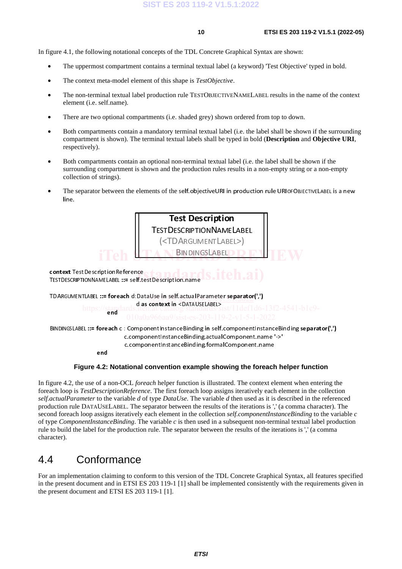In [figure 4.1](#page-10-0), the following notational concepts of the TDL Concrete Graphical Syntax are shown:

- The uppermost compartment contains a terminal textual label (a keyword) 'Test Objective' typed in bold.
- The context meta-model element of this shape is *TestObjective*.
- The non-terminal textual label production rule TESTOBJECTIVENAMELABEL results in the name of the context element (i.e. self.name).
- There are two optional compartments (i.e. shaded grey) shown ordered from top to down.
- Both compartments contain a mandatory terminal textual label (i.e. the label shall be shown if the surrounding compartment is shown). The terminal textual labels shall be typed in bold (**Description** and **Objective URI**, respectively).
- Both compartments contain an optional non-terminal textual label (i.e. the label shall be shown if the surrounding compartment is shown and the production rules results in a non-empty string or a non-empty collection of strings).
- The separator between the elements of the self.objectiveURI in production rule URIOFOBJECTIVELABEL is a new line.



In figure 4.2, the use of a non-OCL *foreach* helper function is illustrated. The context element when entering the foreach loop is *TestDescriptionReference*. The first foreach loop assigns iteratively each element in the collection *self.actualParameter* to the variable *d* of type *DataUse*. The variable *d* then used as it is described in the referenced production rule DATAUSELABEL. The separator between the results of the iterations is ',' (a comma character). The second foreach loop assigns iteratively each element in the collection *self.componentInstanceBinding* to the variable *c* of type *ComponentInstanceBinding*. The variable *c* is then used in a subsequent non-terminal textual label production rule to build the label for the production rule. The separator between the results of the iterations is ',' (a comma character).

### 4.4 Conformance

For an implementation claiming to conform to this version of the TDL Concrete Graphical Syntax, all features specified in the present document and in ETSI ES 203 119-1 [\[1](#page-7-0)] shall be implemented consistently with the requirements given in the present document and ETSI ES 203 119-1 [\[1](#page-7-0)].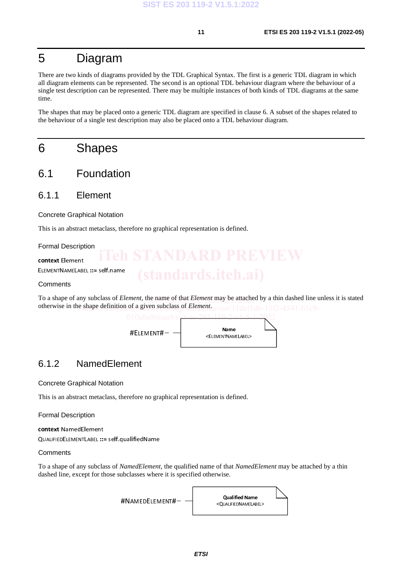### 5 Diagram

There are two kinds of diagrams provided by the TDL Graphical Syntax. The first is a generic TDL diagram in which all diagram elements can be represented. The second is an optional TDL behaviour diagram where the behaviour of a single test description can be represented. There may be multiple instances of both kinds of TDL diagrams at the same time.

The shapes that may be placed onto a generic TDL diagram are specified in clause 6. A subset of the shapes related to the behaviour of a single test description may also be placed onto a TDL behaviour diagram.

### 6 Shapes

- 6.1 Foundation
- 6.1.1 Element

Concrete Graphical Notation

This is an abstract metaclass, therefore no graphical representation is defined.

Formal Description

context Element ELEMENTNAMELABEL ::= self.name

**Comments** 

To a shape of any subclass of *Element*, the name of that *Element* may be attached by a thin dashed line unless it is stated otherwise in the shape definition of a given subclass of *Element*<sub>LS</sub>/sist/11def1d6-13f2-4541-b1c9-



### 6.1.2 NamedElement

Concrete Graphical Notation

This is an abstract metaclass, therefore no graphical representation is defined.

Formal Description

context NamedElement

QUALIFIEDELEMENTLABEL ::= self.qualifiedName

### **Comments**

To a shape of any subclass of *NamedElement*, the qualified name of that *NamedElement* may be attached by a thin dashed line, except for those subclasses where it is specified otherwise.

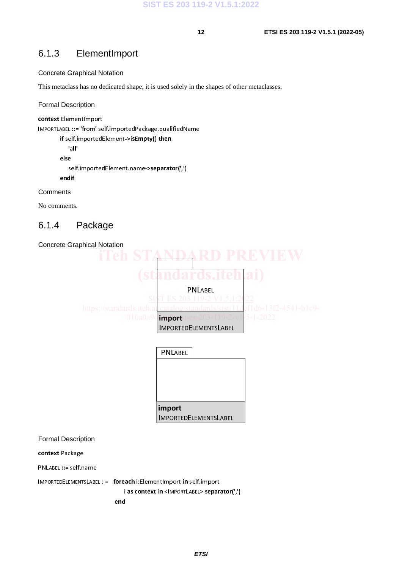### 6.1.3 ElementImport

### Concrete Graphical Notation

This metaclass has no dedicated shape, it is used solely in the shapes of other metaclasses.

### Formal Description

```
context ElementImport
```
IMPORTLABEL ::= 'from' self.importedPackage.qualifiedName

```
if self.importedElement->isEmpty() then
   'all' 
else 
   self.importedElement.name->separator(',') 
endif
```
### **Comments**

No comments.

### 6.1.4 Package